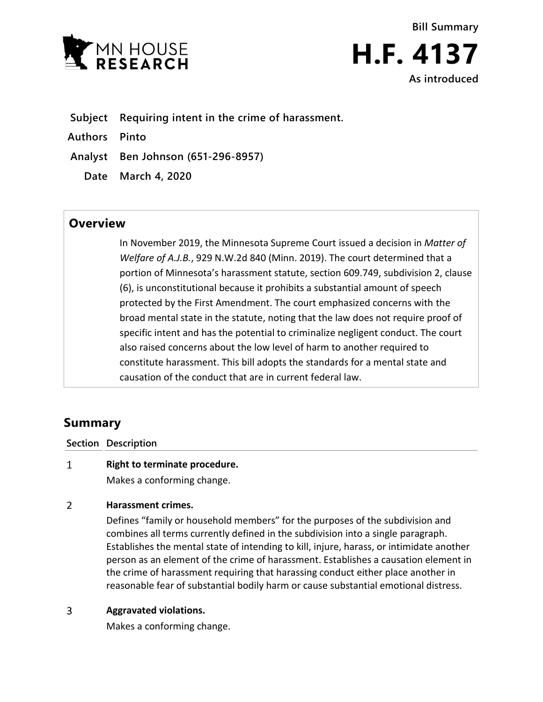



**Subject Requiring intent in the crime of harassment.**

**Authors Pinto**

**Analyst Ben Johnson (651-296-8957)**

**Date March 4, 2020**

## **Overview**

In November 2019, the Minnesota Supreme Court issued a decision in *Matter of Welfare of A.J.B.*, 929 N.W.2d 840 (Minn. 2019). The court determined that a portion of Minnesota's harassment statute, section 609.749, subdivision 2, clause (6), is unconstitutional because it prohibits a substantial amount of speech protected by the First Amendment. The court emphasized concerns with the broad mental state in the statute, noting that the law does not require proof of specific intent and has the potential to criminalize negligent conduct. The court also raised concerns about the low level of harm to another required to constitute harassment. This bill adopts the standards for a mental state and causation of the conduct that are in current federal law.

# **Summary**

**Section Description**

### $\mathbf{1}$ **Right to terminate procedure.**

Makes a conforming change.

### $\overline{2}$ **Harassment crimes.**

Defines "family or household members" for the purposes of the subdivision and combines all terms currently defined in the subdivision into a single paragraph. Establishes the mental state of intending to kill, injure, harass, or intimidate another person as an element of the crime of harassment. Establishes a causation element in the crime of harassment requiring that harassing conduct either place another in reasonable fear of substantial bodily harm or cause substantial emotional distress.

### $\overline{3}$ **Aggravated violations.**

Makes a conforming change.